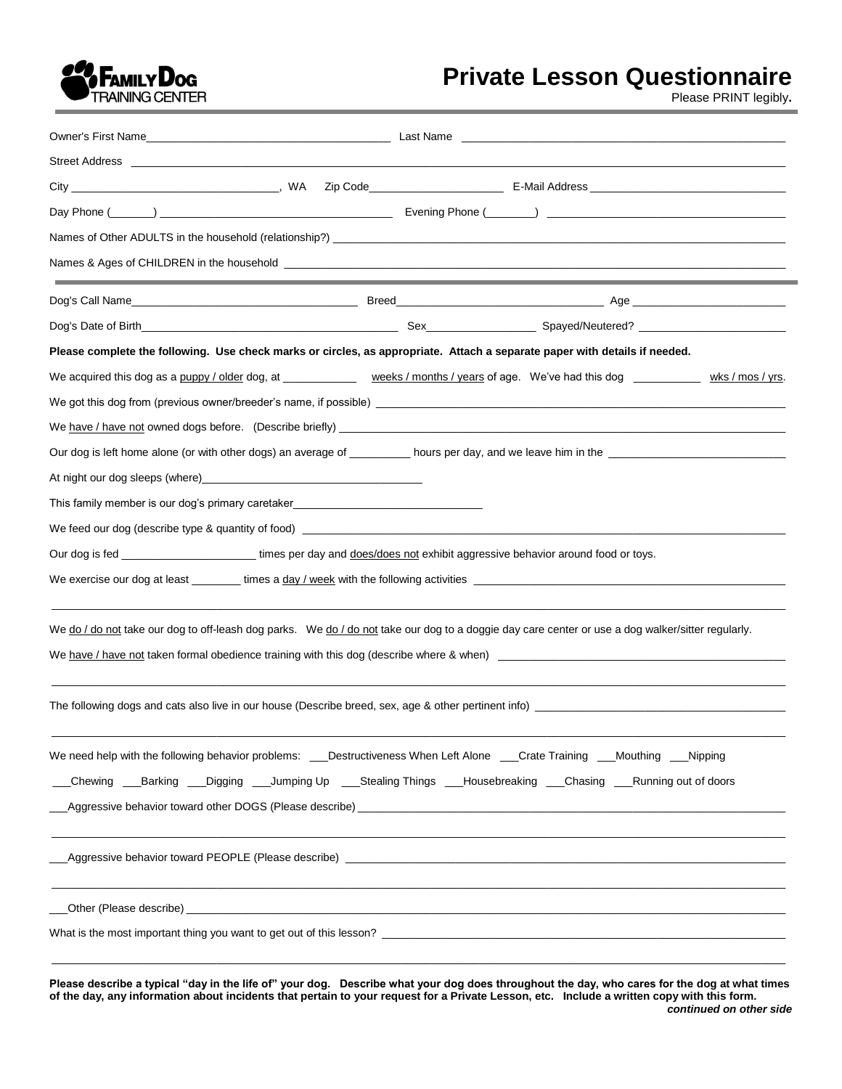

# **Private Lesson Questionnaire**

Please PRINT legibly**.** 

| Please complete the following. Use check marks or circles, as appropriate. Attach a separate paper with details if needed.                                                                                                                                  |  |  |
|-------------------------------------------------------------------------------------------------------------------------------------------------------------------------------------------------------------------------------------------------------------|--|--|
| We acquired this dog as a puppy / older dog, at ______________ weeks / months / years of age. We've had this dog ____________ wks / mos / yrs.                                                                                                              |  |  |
| We got this dog from (previous owner/breeder's name, if possible) [19] Manuscription and the content of the content of the content of the content of the content of the content of the content of the content of the content o                              |  |  |
|                                                                                                                                                                                                                                                             |  |  |
|                                                                                                                                                                                                                                                             |  |  |
|                                                                                                                                                                                                                                                             |  |  |
| This family member is our dog's primary caretaker_______________________________                                                                                                                                                                            |  |  |
|                                                                                                                                                                                                                                                             |  |  |
| Our dog is fed _______________________________times per day and does/does not exhibit aggressive behavior around food or toys.                                                                                                                              |  |  |
|                                                                                                                                                                                                                                                             |  |  |
| We do / do not take our dog to off-leash dog parks. We do / do not take our dog to a doggie day care center or use a dog walker/sitter regularly.<br>We have / have not taken formal obedience training with this dog (describe where & when)               |  |  |
|                                                                                                                                                                                                                                                             |  |  |
| We need help with the following behavior problems: ____Destructiveness When Left Alone ____Crate Training ____Mouthing ____Nipping<br>__Chewing ___Barking ___Digging ___Jumping Up ____Stealing Things ___Housebreaking ___Chasing ___Running out of doors |  |  |
|                                                                                                                                                                                                                                                             |  |  |
|                                                                                                                                                                                                                                                             |  |  |
| What is the most important thing you want to get out of this lesson?                                                                                                                                                                                        |  |  |

**Please describe a typical "day in the life of" your dog. Describe what your dog does throughout the day, who cares for the dog at what times of the day, any information about incidents that pertain to your request for a Private Lesson, etc. Include a written copy with this form.**  *continued on other side*